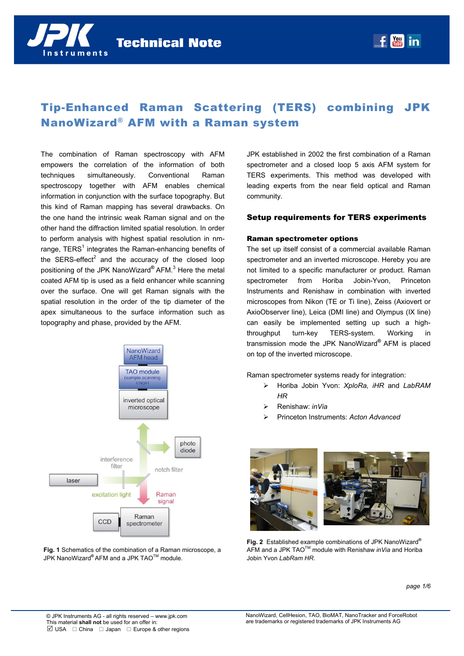

# Tip-Enhanced Raman Scattering (TERS) combining JPK NanoWizard® AFM with a Raman system

The combination of Raman spectroscopy with AFM empowers the correlation of the information of both techniques simultaneously. Conventional Raman spectroscopy together with AFM enables chemical information in conjunction with the surface topography. But this kind of Raman mapping has several drawbacks. On the one hand the intrinsic weak Raman signal and on the other hand the diffraction limited spatial resolution. In order to perform analysis with highest spatial resolution in nmrange, TERS<sup>1</sup> integrates the Raman-enhancing benefits of the SERS-effect<sup>2</sup> and the accuracy of the closed loop positioning of the JPK NanoWizard**®** AFM.<sup>3</sup> Here the metal coated AFM tip is used as a field enhancer while scanning over the surface. One will get Raman signals with the spatial resolution in the order of the tip diameter of the apex simultaneous to the surface information such as topography and phase, provided by the AFM.





JPK established in 2002 the first combination of a Raman spectrometer and a closed loop 5 axis AFM system for TERS experiments. This method was developed with leading experts from the near field optical and Raman community.

### Setup requirements for TERS experiments

#### Raman spectrometer options

The set up itself consist of a commercial available Raman spectrometer and an inverted microscope. Hereby you are not limited to a specific manufacturer or product. Raman spectrometer from Horiba Jobin-Yvon, Princeton Instruments and Renishaw in combination with inverted microscopes from Nikon (TE or Ti line), Zeiss (Axiovert or AxioObserver line), Leica (DMI line) and Olympus (IX line) can easily be implemented setting up such a highthroughput turn-key TERS-system. Working in transmission mode the JPK NanoWizard**®** AFM is placed on top of the inverted microscope.

Raman spectrometer systems ready for integration:

- Horiba Jobin Yvon: *XploRa, iHR* and *LabRAM HR*
- Renishaw: *inVia*
- Princeton Instruments: *Acton Advanced*



**Fig. 2** Established example combinations of JPK NanoWizard**®**  AFM and a JPK TAOTM module with Renishaw *inVia* and Horiba Jobin Yvon *LabRam HR*.

*page 1/6*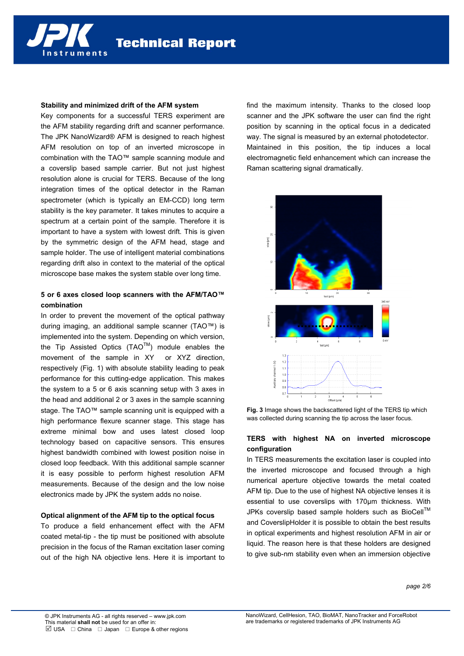#### **Stability and minimized drift of the AFM system**

nstruments

Key components for a successful TERS experiment are the AFM stability regarding drift and scanner performance. The JPK NanoWizard® AFM is designed to reach highest AFM resolution on top of an inverted microscope in combination with the TAO™ sample scanning module and a coverslip based sample carrier. But not just highest resolution alone is crucial for TERS. Because of the long integration times of the optical detector in the Raman spectrometer (which is typically an EM-CCD) long term stability is the key parameter. It takes minutes to acquire a spectrum at a certain point of the sample. Therefore it is important to have a system with lowest drift. This is given by the symmetric design of the AFM head, stage and sample holder. The use of intelligent material combinations regarding drift also in context to the material of the optical microscope base makes the system stable over long time.

# **5 or 6 axes closed loop scanners with the AFM/TAO™ combination**

In order to prevent the movement of the optical pathway during imaging, an additional sample scanner (TAO™) is implemented into the system. Depending on which version, the Tip Assisted Optics  $(TAO^{TM})$  module enables the movement of the sample in XY or XYZ direction, respectively (Fig. 1) with absolute stability leading to peak performance for this cutting-edge application. This makes the system to a 5 or 6 axis scanning setup with 3 axes in the head and additional 2 or 3 axes in the sample scanning stage. The TAO™ sample scanning unit is equipped with a high performance flexure scanner stage. This stage has extreme minimal bow and uses latest closed loop technology based on capacitive sensors. This ensures highest bandwidth combined with lowest position noise in closed loop feedback. With this additional sample scanner it is easy possible to perform highest resolution AFM measurements. Because of the design and the low noise electronics made by JPK the system adds no noise.

### **Optical alignment of the AFM tip to the optical focus**

To produce a field enhancement effect with the AFM coated metal-tip - the tip must be positioned with absolute precision in the focus of the Raman excitation laser coming out of the high NA objective lens. Here it is important to find the maximum intensity. Thanks to the closed loop scanner and the JPK software the user can find the right position by scanning in the optical focus in a dedicated way. The signal is measured by an external photodetector. Maintained in this position, the tip induces a local electromagnetic field enhancement which can increase the Raman scattering signal dramatically.



**Fig. 3** Image shows the backscattered light of the TERS tip which was collected during scanning the tip across the laser focus.

# **TERS with highest NA on inverted microscope configuration**

In TERS measurements the excitation laser is coupled into the inverted microscope and focused through a high numerical aperture objective towards the metal coated AFM tip. Due to the use of highest NA objective lenses it is essential to use coverslips with 170µm thickness. With JPKs coverslip based sample holders such as BioCell<sup>™</sup> and CoverslipHolder it is possible to obtain the best results in optical experiments and highest resolution AFM in air or liquid. The reason here is that these holders are designed to give sub-nm stability even when an immersion objective

*page 2/6*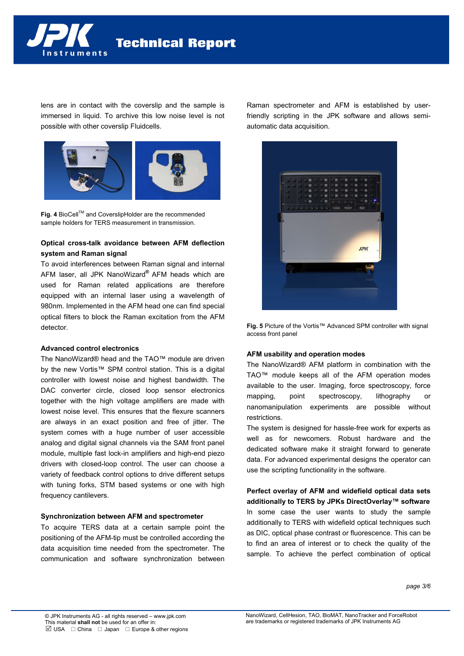

lens are in contact with the coverslip and the sample is immersed in liquid. To archive this low noise level is not possible with other coverslip Fluidcells.



**Fig. 4** BioCell™ and CoverslipHolder are the recommended sample holders for TERS measurement in transmission.

# **Optical cross-talk avoidance between AFM deflection system and Raman signal**

To avoid interferences between Raman signal and internal AFM laser, all JPK NanoWizard**®** AFM heads which are used for Raman related applications are therefore equipped with an internal laser using a wavelength of 980nm. Implemented in the AFM head one can find special optical filters to block the Raman excitation from the AFM detector.

### **Advanced control electronics**

The NanoWizard® head and the TAO™ module are driven by the new Vortis™ SPM control station. This is a digital controller with lowest noise and highest bandwidth. The DAC converter circle, closed loop sensor electronics together with the high voltage amplifiers are made with lowest noise level. This ensures that the flexure scanners are always in an exact position and free of jitter. The system comes with a huge number of user accessible analog and digital signal channels via the SAM front panel module, multiple fast lock-in amplifiers and high-end piezo drivers with closed-loop control. The user can choose a variety of feedback control options to drive different setups with tuning forks, STM based systems or one with high frequency cantilevers.

### **Synchronization between AFM and spectrometer**

To acquire TERS data at a certain sample point the positioning of the AFM-tip must be controlled according the data acquisition time needed from the spectrometer. The communication and software synchronization between Raman spectrometer and AFM is established by userfriendly scripting in the JPK software and allows semiautomatic data acquisition.



**Fig. 5** Picture of the Vortis™ Advanced SPM controller with signal access front panel

### **AFM usability and operation modes**

The NanoWizard® AFM platform in combination with the TAO™ module keeps all of the AFM operation modes available to the user. Imaging, force spectroscopy, force mapping, point spectroscopy, lithography or nanomanipulation experiments are possible without restrictions.

The system is designed for hassle-free work for experts as well as for newcomers. Robust hardware and the dedicated software make it straight forward to generate data. For advanced experimental designs the operator can use the scripting functionality in the software.

# **Perfect overlay of AFM and widefield optical data sets additionally to TERS by JPKs DirectOverlay™ software**  In some case the user wants to study the sample additionally to TERS with widefield optical techniques such as DIC, optical phase contrast or fluorescence. This can be to find an area of interest or to check the quality of the

sample. To achieve the perfect combination of optical

*page 3/6*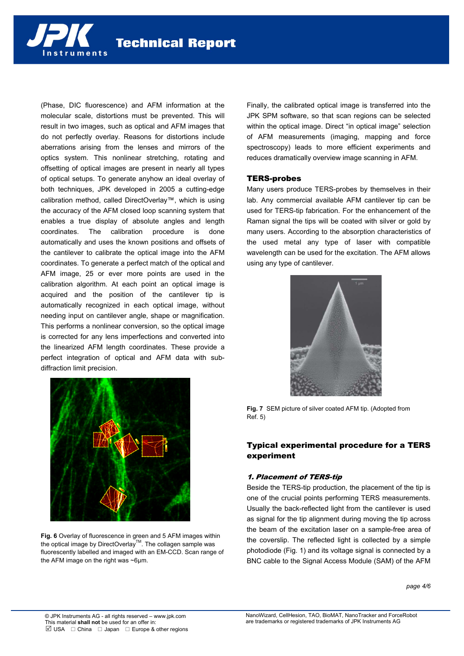

(Phase, DIC fluorescence) and AFM information at the molecular scale, distortions must be prevented. This will result in two images, such as optical and AFM images that do not perfectly overlay. Reasons for distortions include aberrations arising from the lenses and mirrors of the optics system. This nonlinear stretching, rotating and offsetting of optical images are present in nearly all types of optical setups. To generate anyhow an ideal overlay of both techniques, JPK developed in 2005 a cutting-edge calibration method, called DirectOverlay™, which is using the accuracy of the AFM closed loop scanning system that enables a true display of absolute angles and length coordinates. The calibration procedure is done automatically and uses the known positions and offsets of the cantilever to calibrate the optical image into the AFM coordinates. To generate a perfect match of the optical and AFM image, 25 or ever more points are used in the calibration algorithm. At each point an optical image is acquired and the position of the cantilever tip is automatically recognized in each optical image, without needing input on cantilever angle, shape or magnification. This performs a nonlinear conversion, so the optical image is corrected for any lens imperfections and converted into the linearized AFM length coordinates. These provide a perfect integration of optical and AFM data with subdiffraction limit precision.

nstruments

Finally, the calibrated optical image is transferred into the JPK SPM software, so that scan regions can be selected within the optical image. Direct "in optical image" selection of AFM measurements (imaging, mapping and force spectroscopy) leads to more efficient experiments and reduces dramatically overview image scanning in AFM.

### TERS-probes

Many users produce TERS-probes by themselves in their lab. Any commercial available AFM cantilever tip can be used for TERS-tip fabrication. For the enhancement of the Raman signal the tips will be coated with silver or gold by many users. According to the absorption characteristics of the used metal any type of laser with compatible wavelength can be used for the excitation. The AFM allows using any type of cantilever.





**Fig. 6** Overlay of fluorescence in green and 5 AFM images within the optical image by DirectOverlay<sup>™</sup>. The collagen sample was fluorescently labelled and imaged with an EM-CCD. Scan range of the AFM image on the right was ~6µm.

**Fig. 7** SEM picture of silver coated AFM tip. (Adopted from Ref. 5)

# Typical experimental procedure for a TERS experiment

# 1. Placement of TERS-tip

Beside the TERS-tip production, the placement of the tip is one of the crucial points performing TERS measurements. Usually the back-reflected light from the cantilever is used as signal for the tip alignment during moving the tip across the beam of the excitation laser on a sample-free area of the coverslip. The reflected light is collected by a simple photodiode (Fig. 1) and its voltage signal is connected by a BNC cable to the Signal Access Module (SAM) of the AFM

*page 4/6*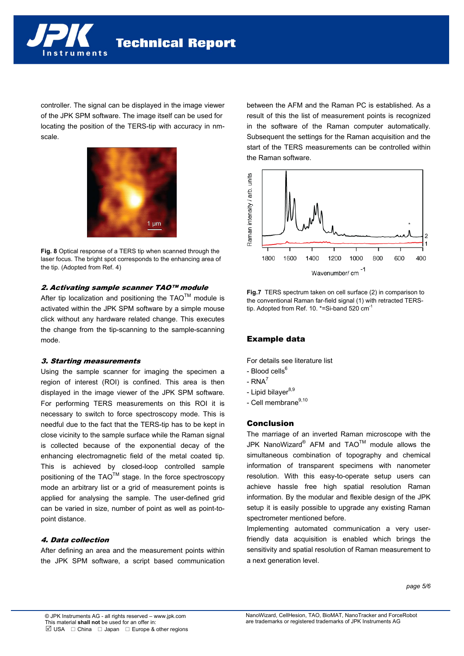

controller. The signal can be displayed in the image viewer of the JPK SPM software. The image itself can be used for locating the position of the TERS-tip with accuracy in nmscale.



**Fig. 8** Optical response of a TERS tip when scanned through the laser focus. The bright spot corresponds to the enhancing area of the tip. (Adopted from Ref. 4)

# 2. Activating sample scanner TAO™ module

After tip localization and positioning the  $TAO^{TM}$  module is activated within the JPK SPM software by a simple mouse click without any hardware related change. This executes the change from the tip-scanning to the sample-scanning mode.

## 3. Starting measurements

Using the sample scanner for imaging the specimen a region of interest (ROI) is confined. This area is then displayed in the image viewer of the JPK SPM software. For performing TERS measurements on this ROI it is necessary to switch to force spectroscopy mode. This is needful due to the fact that the TERS-tip has to be kept in close vicinity to the sample surface while the Raman signal is collected because of the exponential decay of the enhancing electromagnetic field of the metal coated tip. This is achieved by closed-loop controlled sample positioning of the TAO<sup>™</sup> stage. In the force spectroscopy mode an arbitrary list or a grid of measurement points is applied for analysing the sample. The user-defined grid can be varied in size, number of point as well as point-topoint distance.

# 4. Data collection

After defining an area and the measurement points within the JPK SPM software, a script based communication

between the AFM and the Raman PC is established. As a result of this the list of measurement points is recognized in the software of the Raman computer automatically. Subsequent the settings for the Raman acquisition and the start of the TERS measurements can be controlled within the Raman software.



**Fig.7** TERS spectrum taken on cell surface (2) in comparison to the conventional Raman far-field signal (1) with retracted TERStip. Adopted from Ref. 10. \*=Si-band 520 cm<sup>-1</sup>

# Example data

For details see literature list

- Blood cells<sup>6</sup>
- $RNA^7$
- Lipid bilaver $8,9$
- Cell membrane<sup>9,10</sup>

# Conclusion

The marriage of an inverted Raman microscope with the JPK NanoWizard<sup>®</sup> AFM and TAO<sup>TM</sup> module allows the simultaneous combination of topography and chemical information of transparent specimens with nanometer resolution. With this easy-to-operate setup users can achieve hassle free high spatial resolution Raman information. By the modular and flexible design of the JPK setup it is easily possible to upgrade any existing Raman spectrometer mentioned before.

Implementing automated communication a very userfriendly data acquisition is enabled which brings the sensitivity and spatial resolution of Raman measurement to a next generation level.

*page 5/6*